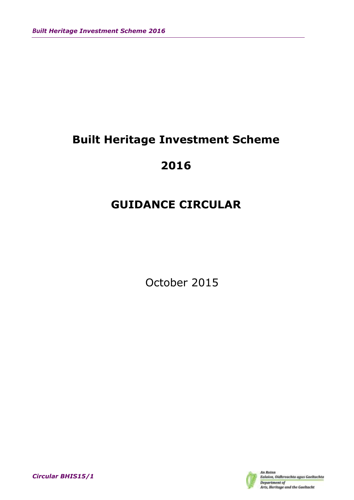# **Built Heritage Investment Scheme**

# **2016**

# **GUIDANCE CIRCULAR**

October 2015



*Circular BHIS15/1*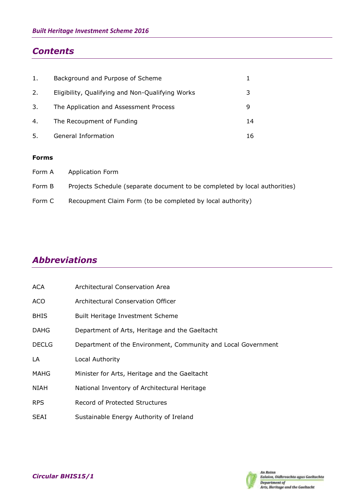## *Contents*

| 1. | Background and Purpose of Scheme                 |    |
|----|--------------------------------------------------|----|
| 2. | Eligibility, Qualifying and Non-Qualifying Works |    |
| 3. | The Application and Assessment Process           |    |
| 4. | The Recoupment of Funding                        | 14 |
| 5. | General Information                              | 16 |

#### **Forms**

| Form A | Application Form                                                           |
|--------|----------------------------------------------------------------------------|
| Form B | Projects Schedule (separate document to be completed by local authorities) |
| Form C | Recoupment Claim Form (to be completed by local authority)                 |

## *Abbreviations*

| <b>ACA</b>   | Architectural Conservation Area                               |
|--------------|---------------------------------------------------------------|
| <b>ACO</b>   | Architectural Conservation Officer                            |
| <b>BHIS</b>  | <b>Built Heritage Investment Scheme</b>                       |
| <b>DAHG</b>  | Department of Arts, Heritage and the Gaeltacht                |
| <b>DECLG</b> | Department of the Environment, Community and Local Government |
| LA           | Local Authority                                               |
| MAHG         | Minister for Arts, Heritage and the Gaeltacht                 |
| <b>NIAH</b>  | National Inventory of Architectural Heritage                  |
| <b>RPS</b>   | Record of Protected Structures                                |
| <b>SEAI</b>  | Sustainable Energy Authority of Ireland                       |

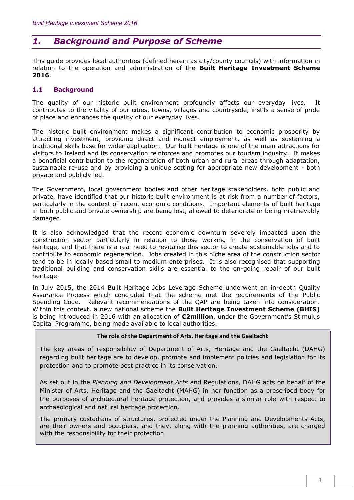## *1. Background and Purpose of Scheme*

This guide provides local authorities (defined herein as city/county councils) with information in relation to the operation and administration of the **Built Heritage Investment Scheme 2016**.

#### **1.1 Background**

The quality of our historic built environment profoundly affects our everyday lives. It contributes to the vitality of our cities, towns, villages and countryside, instils a sense of pride of place and enhances the quality of our everyday lives.

The historic built environment makes a significant contribution to economic prosperity by attracting investment, providing direct and indirect employment, as well as sustaining a traditional skills base for wider application. Our built heritage is one of the main attractions for visitors to Ireland and its conservation reinforces and promotes our tourism industry. It makes a beneficial contribution to the regeneration of both urban and rural areas through adaptation, sustainable re-use and by providing a unique setting for appropriate new development - both private and publicly led.

The Government, local government bodies and other heritage stakeholders, both public and private, have identified that our historic built environment is at risk from a number of factors, particularly in the context of recent economic conditions. Important elements of built heritage in both public and private ownership are being lost, allowed to deteriorate or being irretrievably damaged.

It is also acknowledged that the recent economic downturn severely impacted upon the construction sector particularly in relation to those working in the conservation of built heritage, and that there is a real need to revitalise this sector to create sustainable jobs and to contribute to economic regeneration. Jobs created in this niche area of the construction sector tend to be in locally based small to medium enterprises. It is also recognised that supporting traditional building and conservation skills are essential to the on-going repair of our built heritage.

In July 2015, the 2014 Built Heritage Jobs Leverage Scheme underwent an in-depth Quality Assurance Process which concluded that the scheme met the requirements of the Public Spending Code. Relevant recommendations of the QAP are being taken into consideration. Within this context, a new national scheme the **Built Heritage Investment Scheme (BHIS)** is being introduced in 2016 with an allocation of **€2million**, under the Government's Stimulus Capital Programme, being made available to local authorities.

#### **The role of the Department of Arts, Heritage and the Gaeltacht**

The key areas of responsibility of Department of Arts, Heritage and the Gaeltacht (DAHG) regarding built heritage are to develop, promote and implement policies and legislation for its protection and to promote best practice in its conservation.

As set out in the *Planning and Development Acts* and Regulations, DAHG acts on behalf of the Minister of Arts, Heritage and the Gaeltacht (MAHG) in her function as a prescribed body for the purposes of architectural heritage protection, and provides a similar role with respect to archaeological and natural heritage protection.

The primary custodians of structures, protected under the Planning and Developments Acts, are their owners and occupiers, and they, along with the planning authorities, are charged with the responsibility for their protection.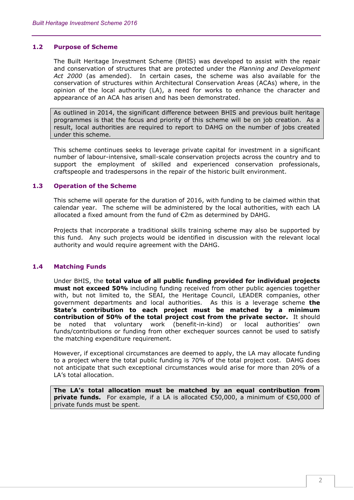#### **1.2 Purpose of Scheme**

The Built Heritage Investment Scheme (BHIS) was developed to assist with the repair and conservation of structures that are protected under the *Planning and Development Act 2000* (as amended). In certain cases, the scheme was also available for the conservation of structures within Architectural Conservation Areas (ACAs) where, in the opinion of the local authority (LA), a need for works to enhance the character and appearance of an ACA has arisen and has been demonstrated.

As outlined in 2014, the significant difference between BHIS and previous built heritage programmes is that the focus and priority of this scheme will be on job creation. As a result, local authorities are required to report to DAHG on the number of jobs created under this scheme.

This scheme continues seeks to leverage private capital for investment in a significant number of labour-intensive, small-scale conservation projects across the country and to support the employment of skilled and experienced conservation professionals, craftspeople and tradespersons in the repair of the historic built environment.

#### **1.3 Operation of the Scheme**

This scheme will operate for the duration of 2016, with funding to be claimed within that calendar year. The scheme will be administered by the local authorities, with each LA allocated a fixed amount from the fund of €2m as determined by DAHG.

Projects that incorporate a traditional skills training scheme may also be supported by this fund. Any such projects would be identified in discussion with the relevant local authority and would require agreement with the DAHG.

#### **1.4 Matching Funds**

Under BHIS, the **total value of all public funding provided for individual projects must not exceed 50%** including funding received from other public agencies together with, but not limited to, the SEAI, the Heritage Council, LEADER companies, other government departments and local authorities. As this is a leverage scheme **the State's contribution to each project must be matched by a minimum contribution of 50% of the total project cost from the private sector.** It should be noted that voluntary work (benefit-in-kind) or local authorities' own funds/contributions or funding from other exchequer sources cannot be used to satisfy the matching expenditure requirement.

However, if exceptional circumstances are deemed to apply, the LA may allocate funding to a project where the total public funding is 70% of the total project cost. DAHG does not anticipate that such exceptional circumstances would arise for more than 20% of a LA's total allocation.

**The LA's total allocation must be matched by an equal contribution from private funds.** For example, if a LA is allocated €50,000, a minimum of €50,000 of private funds must be spent.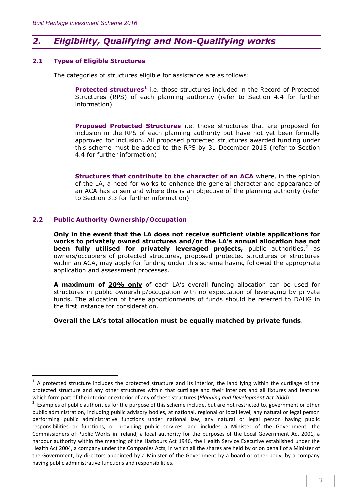## *2. Eligibility, Qualifying and Non-Qualifying works*

#### **2.1 Types of Eligible Structures**

The categories of structures eligible for assistance are as follows:

Protected structures<sup>1</sup> i.e. those structures included in the Record of Protected Structures (RPS) of each planning authority (refer to Section 4.4 for further information)

**Proposed Protected Structures** i.e. those structures that are proposed for inclusion in the RPS of each planning authority but have not yet been formally approved for inclusion. All proposed protected structures awarded funding under this scheme must be added to the RPS by 31 December 2015 (refer to Section 4.4 for further information)

**Structures that contribute to the character of an ACA** where, in the opinion of the LA, a need for works to enhance the general character and appearance of an ACA has arisen and where this is an objective of the planning authority (refer to Section 3.3 for further information)

#### **2.2 Public Authority Ownership/Occupation**

 $\overline{a}$ 

**Only in the event that the LA does not receive sufficient viable applications for works to privately owned structures and/or the LA's annual allocation has not been fully utilised for privately leveraged projects,** public authorities,<sup>2</sup> as owners/occupiers of protected structures, proposed protected structures or structures within an ACA, may apply for funding under this scheme having followed the appropriate application and assessment processes.

**A maximum of 20% only** of each LA's overall funding allocation can be used for structures in public ownership/occupation with no expectation of leveraging by private funds. The allocation of these apportionments of funds should be referred to DAHG in the first instance for consideration.

#### **Overall the LA's total allocation must be equally matched by private funds**.

 $1$  A protected structure includes the protected structure and its interior, the land lying within the curtilage of the protected structure and any other structures within that curtilage and their interiors and all fixtures and features which form part of the interior or exterior of any of these structures (*Planning and Development Act 2000*).

 $2$  Examples of public authorities for the purpose of this scheme include, but are not restricted to, government or other public administration, including public advisory bodies, at national, regional or local level, any natural or legal person performing public administrative functions under national law, any natural or legal person having public responsibilities or functions, or providing public services, and includes a Minister of the Government, the Commissioners of Public Works in Ireland, a local authority for the purposes of the Local Government Act 2001, a harbour authority within the meaning of the Harbours Act 1946, the Health Service Executive established under the Health Act 2004, a company under the Companies Acts, in which all the shares are held by or on behalf of a Minister of the Government, by directors appointed by a Minister of the Government by a board or other body, by a company having public administrative functions and responsibilities.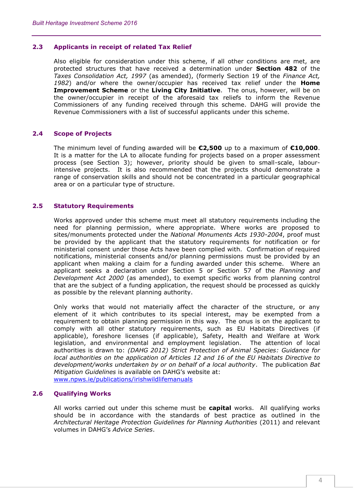#### **2.3 Applicants in receipt of related Tax Relief**

Also eligible for consideration under this scheme, if all other conditions are met, are protected structures that have received a determination under **Section 482** of the *Taxes Consolidation Act, 1997* (as amended), (formerly Section 19 of the *Finance Act, 1982*) and/or where the owner/occupier has received tax relief under the **Home Improvement Scheme** or the **Living City Initiative**. The onus, however, will be on the owner/occupier in receipt of the aforesaid tax reliefs to inform the Revenue Commissioners of any funding received through this scheme. DAHG will provide the Revenue Commissioners with a list of successful applicants under this scheme.

#### **2.4 Scope of Projects**

The minimum level of funding awarded will be **€2,500** up to a maximum of **€10,000**. It is a matter for the LA to allocate funding for projects based on a proper assessment process (see Section 3); however, priority should be given to small-scale, labourintensive projects. It is also recommended that the projects should demonstrate a range of conservation skills and should not be concentrated in a particular geographical area or on a particular type of structure.

#### **2.5 Statutory Requirements**

Works approved under this scheme must meet all statutory requirements including the need for planning permission, where appropriate. Where works are proposed to sites/monuments protected under the *National Monuments Acts 1930-2004*, proof must be provided by the applicant that the statutory requirements for notification or for ministerial consent under those Acts have been complied with. Confirmation of required notifications, ministerial consents and/or planning permissions must be provided by an applicant when making a claim for a funding awarded under this scheme. Where an applicant seeks a declaration under Section 5 or Section 57 of the *Planning and Development Act 2000* (as amended), to exempt specific works from planning control that are the subject of a funding application, the request should be processed as quickly as possible by the relevant planning authority.

Only works that would not materially affect the character of the structure, or any element of it which contributes to its special interest, may be exempted from a requirement to obtain planning permission in this way. The onus is on the applicant to comply with all other statutory requirements, such as EU Habitats Directives (if applicable), foreshore licenses (if applicable), Safety, Health and Welfare at Work legislation, and environmental and employment legislation. The attention of local authorities is drawn to: *(DAHG 2012) Strict Protection of Animal Species: Guidance for local authorities on the application of Articles 12 and 16 of the EU Habitats Directive to development/works undertaken by or on behalf of a local authority*. The publication *Bat Mitigation Guidelines* is available on DAHG's website at: [www.npws.ie/publications/irishwildlifemanuals](http://www.npws.ie/publications/irishwildlifemanuals)

#### **2.6 Qualifying Works**

All works carried out under this scheme must be **capital** works. All qualifying works should be in accordance with the standards of best practice as outlined in the *Architectural Heritage Protection Guidelines for Planning Authorities* (2011) and relevant volumes in DAHG's *Advice Series*.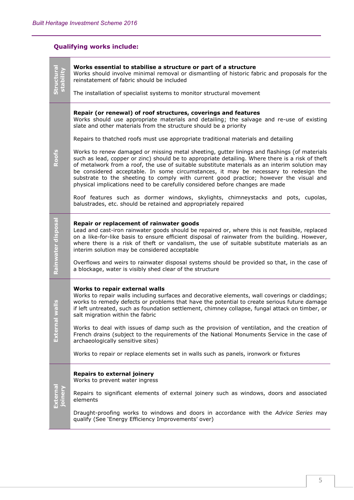## **Qualifying works include:**

|                    | Works essential to stabilise a structure or part of a structure<br>Works should involve minimal removal or dismantling of historic fabric and proposals for the<br>reinstatement of fabric should be included<br>The installation of specialist systems to monitor structural movement                                                                                                                                                                                                                                                                                                                                                                                                                                                                                                                                                                                                                                                                                                                                                                |
|--------------------|-------------------------------------------------------------------------------------------------------------------------------------------------------------------------------------------------------------------------------------------------------------------------------------------------------------------------------------------------------------------------------------------------------------------------------------------------------------------------------------------------------------------------------------------------------------------------------------------------------------------------------------------------------------------------------------------------------------------------------------------------------------------------------------------------------------------------------------------------------------------------------------------------------------------------------------------------------------------------------------------------------------------------------------------------------|
| Roofs              | Repair (or renewal) of roof structures, coverings and features<br>Works should use appropriate materials and detailing; the salvage and re-use of existing<br>slate and other materials from the structure should be a priority<br>Repairs to thatched roofs must use appropriate traditional materials and detailing<br>Works to renew damaged or missing metal sheeting, gutter linings and flashings (of materials<br>such as lead, copper or zinc) should be to appropriate detailing. Where there is a risk of theft<br>of metalwork from a roof, the use of suitable substitute materials as an interim solution may<br>be considered acceptable. In some circumstances, it may be necessary to redesign the<br>substrate to the sheeting to comply with current good practice; however the visual and<br>physical implications need to be carefully considered before changes are made<br>Roof features such as dormer windows, skylights, chimneystacks and pots, cupolas,<br>balustrades, etc. should be retained and appropriately repaired |
| Rainwater disposal | Repair or replacement of rainwater goods<br>Lead and cast-iron rainwater goods should be repaired or, where this is not feasible, replaced<br>on a like-for-like basis to ensure efficient disposal of rainwater from the building. However,<br>where there is a risk of theft or vandalism, the use of suitable substitute materials as an<br>interim solution may be considered acceptable<br>Overflows and weirs to rainwater disposal systems should be provided so that, in the case of<br>a blockage, water is visibly shed clear of the structure                                                                                                                                                                                                                                                                                                                                                                                                                                                                                              |
| al walls<br>Exter  | Works to repair external walls<br>Works to repair walls including surfaces and decorative elements, wall coverings or claddings;<br>works to remedy defects or problems that have the potential to create serious future damage<br>if left untreated, such as foundation settlement, chimney collapse, fungal attack on timber, or<br>salt migration within the fabric<br>Works to deal with issues of damp such as the provision of ventilation, and the creation of<br>French drains (subject to the requirements of the National Monuments Service in the case of<br>archaeologically sensitive sites)<br>Works to repair or replace elements set in walls such as panels, ironwork or fixtures                                                                                                                                                                                                                                                                                                                                                    |
|                    | <b>Repairs to external joinery</b><br>Works to prevent water ingress<br>Repairs to significant elements of external joinery such as windows, doors and associated<br>elements<br>Draught-proofing works to windows and doors in accordance with the Advice Series may<br>qualify (See 'Energy Efficiency Improvements' over)                                                                                                                                                                                                                                                                                                                                                                                                                                                                                                                                                                                                                                                                                                                          |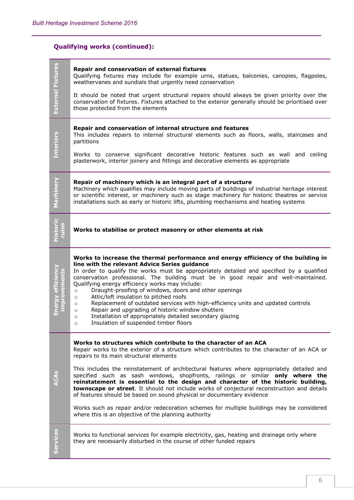## **Qualifying works (continued):**

| External Fixtures         | Repair and conservation of external fixtures<br>Qualifying fixtures may include for example urns, statues, balconies, canopies, flagpoles,<br>weathervanes and sundials that urgently need conservation<br>It should be noted that urgent structural repairs should always be given priority over the<br>conservation of fixtures. Fixtures attached to the exterior generally should be prioritised over<br>those protected from the elements                                                                                                                                                                                                                                                                                                                                                            |
|---------------------------|-----------------------------------------------------------------------------------------------------------------------------------------------------------------------------------------------------------------------------------------------------------------------------------------------------------------------------------------------------------------------------------------------------------------------------------------------------------------------------------------------------------------------------------------------------------------------------------------------------------------------------------------------------------------------------------------------------------------------------------------------------------------------------------------------------------|
| <b>Interiors</b>          | Repair and conservation of internal structure and features<br>This includes repairs to internal structural elements such as floors, walls, staircases and<br>partitions<br>Works to conserve significant decorative historic features such as wall and ceiling<br>plasterwork, interior joinery and fittings and decorative elements as appropriate                                                                                                                                                                                                                                                                                                                                                                                                                                                       |
| Machinery                 | Repair of machinery which is an integral part of a structure<br>Machinery which qualifies may include moving parts of buildings of industrial heritage interest<br>or scientific interest, or machinery such as stage machinery for historic theatres or service<br>installations such as early or historic lifts, plumbing mechanisms and heating systems                                                                                                                                                                                                                                                                                                                                                                                                                                                |
|                           | Works to stabilise or protect masonry or other elements at risk                                                                                                                                                                                                                                                                                                                                                                                                                                                                                                                                                                                                                                                                                                                                           |
| nergy efficienc<br>rement | Works to increase the thermal performance and energy efficiency of the building in<br>line with the relevant Advice Series guidance<br>In order to qualify the works must be appropriately detailed and specified by a qualified<br>conservation professional. The building must be in good repair and well-maintained.<br>Qualifying energy efficiency works may include:<br>Draught-proofing of windows, doors and other openings<br>$\circ$<br>Attic/loft insulation to pitched roofs<br>$\circ$<br>Replacement of outdated services with high-efficiency units and updated controls<br>$\circ$<br>Repair and upgrading of historic window shutters<br>$\circ$<br>Installation of appropriately detailed secondary glazing<br>$\circ$<br>Insulation of suspended timber floors<br>$\circ$              |
| <b>ACAS</b>               | Works to structures which contribute to the character of an ACA<br>Repair works to the exterior of a structure which contributes to the character of an ACA or<br>repairs to its main structural elements<br>This includes the reinstatement of architectural features where appropriately detailed and<br>specified such as sash windows, shopfronts, railings or similar only where the<br>reinstatement is essential to the design and character of the historic building,<br>townscape or street. It should not include works of conjectural reconstruction and details<br>of features should be based on sound physical or documentary evidence<br>Works such as repair and/or redecoration schemes for multiple buildings may be considered<br>where this is an objective of the planning authority |
| <b>Services</b>           | Works to functional services for example electricity, gas, heating and drainage only where                                                                                                                                                                                                                                                                                                                                                                                                                                                                                                                                                                                                                                                                                                                |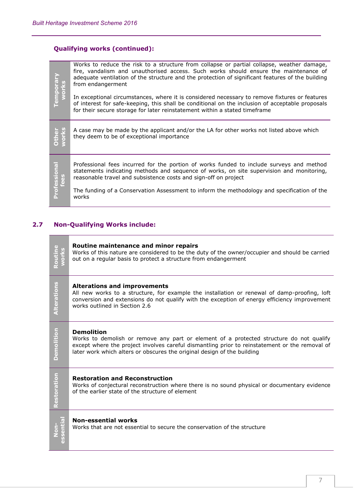### **Qualifying works (continued):**

| Temporar<br>works    | Works to reduce the risk to a structure from collapse or partial collapse, weather damage,<br>fire, vandalism and unauthorised access. Such works should ensure the maintenance of<br>adequate ventilation of the structure and the protection of significant features of the building<br>from endangerment |
|----------------------|-------------------------------------------------------------------------------------------------------------------------------------------------------------------------------------------------------------------------------------------------------------------------------------------------------------|
|                      | In exceptional circumstances, where it is considered necessary to remove fixtures or features<br>of interest for safe-keeping, this shall be conditional on the inclusion of acceptable proposals<br>for their secure storage for later reinstatement within a stated timeframe                             |
| Other<br>works       | A case may be made by the applicant and/or the LA for other works not listed above which<br>they deem to be of exceptional importance                                                                                                                                                                       |
| Professional<br>fees | Professional fees incurred for the portion of works funded to include surveys and method<br>statements indicating methods and sequence of works, on site supervision and monitoring,<br>reasonable travel and subsistence costs and sign-off on project                                                     |
|                      | The funding of a Conservation Assessment to inform the methodology and specification of the<br>works                                                                                                                                                                                                        |

## **2.7 Non-Qualifying Works include:**

| Routine<br>vorks | Routine maintenance and minor repairs<br>Works of this nature are considered to be the duty of the owner/occupier and should be carried<br>out on a regular basis to protect a structure from endangerment                                                                                |
|------------------|-------------------------------------------------------------------------------------------------------------------------------------------------------------------------------------------------------------------------------------------------------------------------------------------|
| Alterations      | <b>Alterations and improvements</b><br>All new works to a structure, for example the installation or renewal of damp-proofing, loft<br>conversion and extensions do not qualify with the exception of energy efficiency improvement<br>works outlined in Section 2.6                      |
| Demolition       | <b>Demolition</b><br>Works to demolish or remove any part or element of a protected structure do not qualify<br>except where the project involves careful dismantling prior to reinstatement or the removal of<br>later work which alters or obscures the original design of the building |
| Restoration      | <b>Restoration and Reconstruction</b><br>Works of conjectural reconstruction where there is no sound physical or documentary evidence<br>of the earlier state of the structure of element                                                                                                 |
| essential        | <b>Non-essential works</b><br>Works that are not essential to secure the conservation of the structure                                                                                                                                                                                    |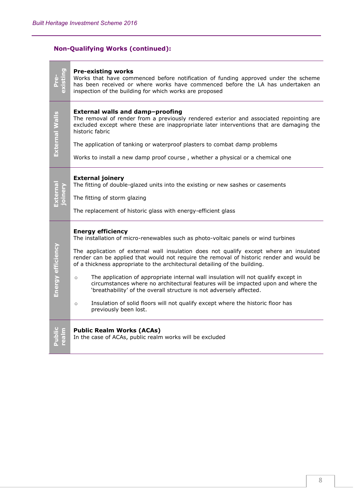F

## **Non-Qualifying Works (continued):**

|                   | <b>Pre-existing works</b><br>Works that have commenced before notification of funding approved under the scheme<br>has been received or where works have commenced before the LA has undertaken an<br>inspection of the building for which works are proposed                                                                                                                                                                                                                                                                                                                                                                                                                                                                                                          |
|-------------------|------------------------------------------------------------------------------------------------------------------------------------------------------------------------------------------------------------------------------------------------------------------------------------------------------------------------------------------------------------------------------------------------------------------------------------------------------------------------------------------------------------------------------------------------------------------------------------------------------------------------------------------------------------------------------------------------------------------------------------------------------------------------|
| External Walls    | External walls and damp-proofing<br>The removal of render from a previously rendered exterior and associated repointing are<br>excluded except where these are inappropriate later interventions that are damaging the<br>historic fabric<br>The application of tanking or waterproof plasters to combat damp problems<br>Works to install a new damp proof course, whether a physical or a chemical one                                                                                                                                                                                                                                                                                                                                                               |
|                   | <b>External joinery</b><br>The fitting of double-glazed units into the existing or new sashes or casements<br>The fitting of storm glazing<br>The replacement of historic glass with energy-efficient glass                                                                                                                                                                                                                                                                                                                                                                                                                                                                                                                                                            |
| Energy efficiency | <b>Energy efficiency</b><br>The installation of micro-renewables such as photo-voltaic panels or wind turbines<br>The application of external wall insulation does not qualify except where an insulated<br>render can be applied that would not require the removal of historic render and would be<br>of a thickness appropriate to the architectural detailing of the building.<br>The application of appropriate internal wall insulation will not qualify except in<br>$\circ$<br>circumstances where no architectural features will be impacted upon and where the<br>'breathability' of the overall structure is not adversely affected.<br>Insulation of solid floors will not qualify except where the historic floor has<br>$\circ$<br>previously been lost. |
|                   | <b>Public Realm Works (ACAs)</b><br>In the case of ACAs, public realm works will be excluded                                                                                                                                                                                                                                                                                                                                                                                                                                                                                                                                                                                                                                                                           |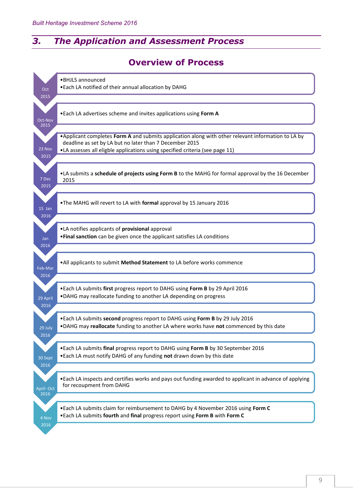## *3. The Application and Assessment Process*

## **Overview of Process**

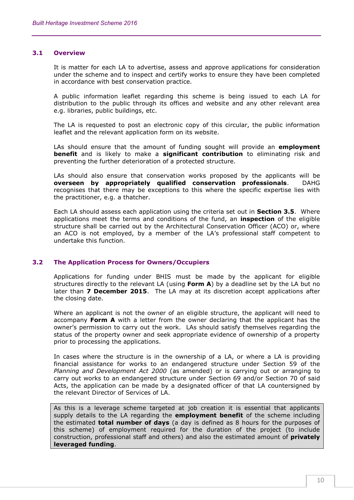#### **3.1 Overview**

It is matter for each LA to advertise, assess and approve applications for consideration under the scheme and to inspect and certify works to ensure they have been completed in accordance with best conservation practice.

A public information leaflet regarding this scheme is being issued to each LA for distribution to the public through its offices and website and any other relevant area e.g. libraries, public buildings, etc.

The LA is requested to post an electronic copy of this circular, the public information leaflet and the relevant application form on its website.

LAs should ensure that the amount of funding sought will provide an **employment benefit** and is likely to make a **significant contribution** to eliminating risk and preventing the further deterioration of a protected structure.

LAs should also ensure that conservation works proposed by the applicants will be **overseen by appropriately qualified conservation professionals**. DAHG recognises that there may be exceptions to this where the specific expertise lies with the practitioner, e.g. a thatcher.

Each LA should assess each application using the criteria set out in **Section 3.5**. Where applications meet the terms and conditions of the fund, an **inspection** of the eligible structure shall be carried out by the Architectural Conservation Officer (ACO) or, where an ACO is not employed, by a member of the LA's professional staff competent to undertake this function.

#### **3.2 The Application Process for Owners/Occupiers**

Applications for funding under BHIS must be made by the applicant for eligible structures directly to the relevant LA (using **Form A**) by a deadline set by the LA but no later than **7 December 2015**. The LA may at its discretion accept applications after the closing date.

Where an applicant is not the owner of an eligible structure, the applicant will need to accompany **Form A** with a letter from the owner declaring that the applicant has the owner's permission to carry out the work. LAs should satisfy themselves regarding the status of the property owner and seek appropriate evidence of ownership of a property prior to processing the applications.

In cases where the structure is in the ownership of a LA, or where a LA is providing financial assistance for works to an endangered structure under Section 59 of the *Planning and Development Act 2000* (as amended) or is carrying out or arranging to carry out works to an endangered structure under Section 69 and/or Section 70 of said Acts, the application can be made by a designated officer of that LA countersigned by the relevant Director of Services of LA.

As this is a leverage scheme targeted at job creation it is essential that applicants supply details to the LA regarding the **employment benefit** of the scheme including the estimated **total number of days** (a day is defined as 8 hours for the purposes of this scheme) of employment required for the duration of the project (to include construction, professional staff and others) and also the estimated amount of **privately leveraged funding**.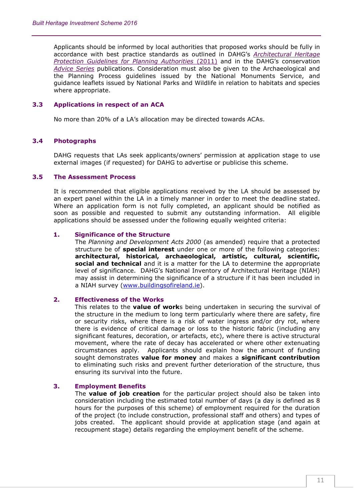Applicants should be informed by local authorities that proposed works should be fully in accordance with best practice standards as outlined in DAHG's *[Architectural Heritage](http://www.ahg.gov.ie/en/Publications/HeritagePublications/BuiltHeritagePolicyPublications/Architectural%20Heritage%20Protection%20Guidelines%20(2011).pdf)  [Protection Guidelines for Planning Authorities](http://www.ahg.gov.ie/en/Publications/HeritagePublications/BuiltHeritagePolicyPublications/Architectural%20Heritage%20Protection%20Guidelines%20(2011).pdf)* (2011) and in the DAHG's conservation *[Advice Series](http://www.ahg.gov.ie/en/Publications/HeritagePublications/BuiltHeritagePolicyPublications/)* publications. Consideration must also be given to the Archaeological and the Planning Process guidelines issued by the National Monuments Service, and guidance leaflets issued by National Parks and Wildlife in relation to habitats and species where appropriate.

#### **3.3 Applications in respect of an ACA**

No more than 20% of a LA's allocation may be directed towards ACAs.

#### **3.4 Photographs**

DAHG requests that LAs seek applicants/owners' permission at application stage to use external images (if requested) for DAHG to advertise or publicise this scheme.

#### **3.5 The Assessment Process**

It is recommended that eligible applications received by the LA should be assessed by an expert panel within the LA in a timely manner in order to meet the deadline stated. Where an application form is not fully completed, an applicant should be notified as soon as possible and requested to submit any outstanding information. All eligible applications should be assessed under the following equally weighted criteria:

#### **1. Significance of the Structure**

The *Planning and Development Acts 2000* (as amended) require that a protected structure be of **special interest** under one or more of the following categories: **architectural, historical, archaeological, artistic, cultural, scientific, social and technical** and it is a matter for the LA to determine the appropriate level of significance. DAHG's National Inventory of Architectural Heritage (NIAH) may assist in determining the significance of a structure if it has been included in a NIAH survey [\(www.buildingsofireland.ie\)](http://www.buildingsofireland.ie/).

#### **2. Effectiveness of the Works**

This relates to the **value of work**s being undertaken in securing the survival of the structure in the medium to long term particularly where there are safety, fire or security risks, where there is a risk of water ingress and/or dry rot, where there is evidence of critical damage or loss to the historic fabric (including any significant features, decoration, or artefacts, etc), where there is active structural movement, where the rate of decay has accelerated or where other extenuating circumstances apply. Applicants should explain how the amount of funding sought demonstrates **value for money** and makes a **significant contribution** to eliminating such risks and prevent further deterioration of the structure, thus ensuring its survival into the future.

#### **3. Employment Benefits**

The **value of job creation** for the particular project should also be taken into consideration including the estimated total number of days (a day is defined as 8 hours for the purposes of this scheme) of employment required for the duration of the project (to include construction, professional staff and others) and types of jobs created. The applicant should provide at application stage (and again at recoupment stage) details regarding the employment benefit of the scheme.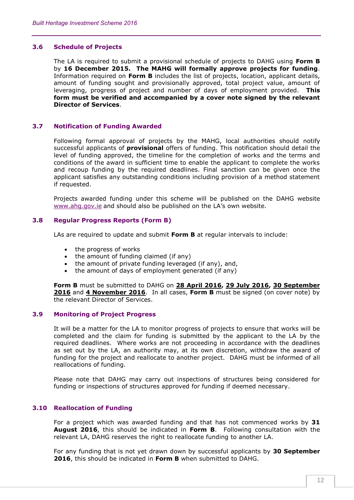#### **3.6 Schedule of Projects**

The LA is required to submit a provisional schedule of projects to DAHG using **Form B** by **16 December 2015. The MAHG will formally approve projects for funding**. Information required on **Form B** includes the list of projects, location, applicant details, amount of funding sought and provisionally approved, total project value, amount of leveraging, progress of project and number of days of employment provided. **This form must be verified and accompanied by a cover note signed by the relevant Director of Services**.

#### **3.7 Notification of Funding Awarded**

Following formal approval of projects by the MAHG, local authorities should notify successful applicants of **provisional** offers of funding. This notification should detail the level of funding approved, the timeline for the completion of works and the terms and conditions of the award in sufficient time to enable the applicant to complete the works and recoup funding by the required deadlines. Final sanction can be given once the applicant satisfies any outstanding conditions including provision of a method statement if requested.

Projects awarded funding under this scheme will be published on the DAHG website [www.ahg.gov.ie](http://www.ahg.gov.ie/) and should also be published on the LA's own website.

#### **3.8 Regular Progress Reports (Form B)**

LAs are required to update and submit **Form B** at regular intervals to include:

- the progress of works
- the amount of funding claimed (if any)
- the amount of private funding leveraged (if any), and,
- the amount of days of employment generated (if any)

**Form B** must be submitted to DAHG on **28 April 2016, 29 July 2016, 30 September 2016** and **4 November 2016**. In all cases, **Form B** must be signed (on cover note) by the relevant Director of Services.

#### **3.9 Monitoring of Project Progress**

It will be a matter for the LA to monitor progress of projects to ensure that works will be completed and the claim for funding is submitted by the applicant to the LA by the required deadlines. Where works are not proceeding in accordance with the deadlines as set out by the LA, an authority may, at its own discretion, withdraw the award of funding for the project and reallocate to another project. DAHG must be informed of all reallocations of funding.

Please note that DAHG may carry out inspections of structures being considered for funding or inspections of structures approved for funding if deemed necessary.

#### **3.10 Reallocation of Funding**

For a project which was awarded funding and that has not commenced works by **31 August 2016**, this should be indicated in **Form B**. Following consultation with the relevant LA, DAHG reserves the right to reallocate funding to another LA.

For any funding that is not yet drawn down by successful applicants by **30 September 2016**, this should be indicated in **Form B** when submitted to DAHG.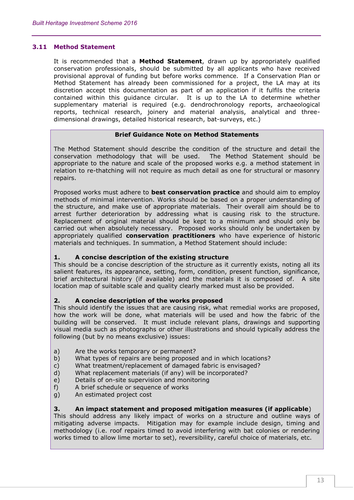#### **3.11 Method Statement**

It is recommended that a **Method Statement**, drawn up by appropriately qualified conservation professionals, should be submitted by all applicants who have received provisional approval of funding but before works commence. If a Conservation Plan or Method Statement has already been commissioned for a project, the LA may at its discretion accept this documentation as part of an application if it fulfils the criteria contained within this guidance circular. It is up to the LA to determine whether supplementary material is required (e.g. dendrochronology reports, archaeological reports, technical research, joinery and material analysis, analytical and threedimensional drawings, detailed historical research, bat-surveys, etc.)

#### **Brief Guidance Note on Method Statements**

The Method Statement should describe the condition of the structure and detail the conservation methodology that will be used. The Method Statement should be appropriate to the nature and scale of the proposed works e.g. a method statement in relation to re-thatching will not require as much detail as one for structural or masonry repairs.

Proposed works must adhere to **best conservation practice** and should aim to employ methods of minimal intervention. Works should be based on a proper understanding of the structure, and make use of appropriate materials. Their overall aim should be to arrest further deterioration by addressing what is causing risk to the structure. Replacement of original material should be kept to a minimum and should only be carried out when absolutely necessary. Proposed works should only be undertaken by appropriately qualified **conservation practitioners** who have experience of historic materials and techniques. In summation, a Method Statement should include:

#### **1. A concise description of the existing structure**

This should be a concise description of the structure as it currently exists, noting all its salient features, its appearance, setting, form, condition, present function, significance, brief architectural history (if available) and the materials it is composed of. A site location map of suitable scale and quality clearly marked must also be provided.

#### **2. A concise description of the works proposed**

This should identify the issues that are causing risk, what remedial works are proposed, how the work will be done, what materials will be used and how the fabric of the building will be conserved. It must include relevant plans, drawings and supporting visual media such as photographs or other illustrations and should typically address the following (but by no means exclusive) issues:

- a) Are the works temporary or permanent?
- b) What types of repairs are being proposed and in which locations?
- c) What treatment/replacement of damaged fabric is envisaged?
- d) What replacement materials (if any) will be incorporated?
- e) Details of on-site supervision and monitoring
- f) A brief schedule or sequence of works
- g) An estimated project cost

#### **3. An impact statement and proposed mitigation measures (if applicable**)

This should address any likely impact of works on a structure and outline ways of mitigating adverse impacts. Mitigation may for example include design, timing and methodology (i.e. roof repairs timed to avoid interfering with bat colonies or rendering works timed to allow lime mortar to set), reversibility, careful choice of materials, etc.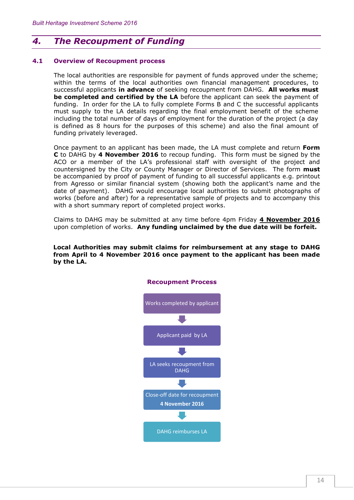## *4. The Recoupment of Funding*

#### **4.1 Overview of Recoupment process**

The local authorities are responsible for payment of funds approved under the scheme; within the terms of the local authorities own financial management procedures, to successful applicants **in advance** of seeking recoupment from DAHG. **All works must be completed and certified by the LA** before the applicant can seek the payment of funding. In order for the LA to fully complete Forms B and C the successful applicants must supply to the LA details regarding the final employment benefit of the scheme including the total number of days of employment for the duration of the project (a day is defined as 8 hours for the purposes of this scheme) and also the final amount of funding privately leveraged.

Once payment to an applicant has been made, the LA must complete and return **Form C** to DAHG by **4 November 2016** to recoup funding. This form must be signed by the ACO or a member of the LA's professional staff with oversight of the project and countersigned by the City or County Manager or Director of Services. The form **must** be accompanied by proof of payment of funding to all successful applicants e.g. printout from Agresso or similar financial system (showing both the applicant's name and the date of payment). DAHG would encourage local authorities to submit photographs of works (before and after) for a representative sample of projects and to accompany this with a short summary report of completed project works.

Claims to DAHG may be submitted at any time before 4pm Friday **4 November 2016** upon completion of works. **Any funding unclaimed by the due date will be forfeit.**

**Local Authorities may submit claims for reimbursement at any stage to DAHG from April to 4 November 2016 once payment to the applicant has been made by the LA.**

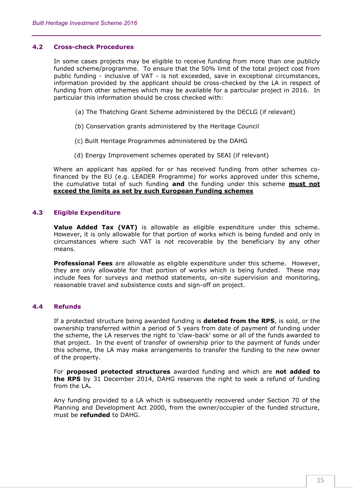#### **4.2 Cross-check Procedures**

In some cases projects may be eligible to receive funding from more than one publicly funded scheme/programme. To ensure that the 50% limit of the total project cost from public funding - inclusive of VAT - is not exceeded, save in exceptional circumstances, information provided by the applicant should be cross-checked by the LA in respect of funding from other schemes which may be available for a particular project in 2016. In particular this information should be cross checked with:

- (a) The Thatching Grant Scheme administered by the DECLG (if relevant)
- (b) Conservation grants administered by the Heritage Council
- (c) Built Heritage Programmes administered by the DAHG
- (d) Energy Improvement schemes operated by SEAI (if relevant)

Where an applicant has applied for or has received funding from other schemes cofinanced by the EU (e.g. LEADER Programme) for works approved under this scheme, the cumulative total of such funding **and** the funding under this scheme **must not exceed the limits as set by such European Funding schemes**

#### **4.3 Eligible Expenditure**

**Value Added Tax (VAT)** is allowable as eligible expenditure under this scheme. However, it is only allowable for that portion of works which is being funded and only in circumstances where such VAT is not recoverable by the beneficiary by any other means.

**Professional Fees** are allowable as eligible expenditure under this scheme. However, they are only allowable for that portion of works which is being funded. These may include fees for surveys and method statements, on-site supervision and monitoring, reasonable travel and subsistence costs and sign-off on project.

#### **4.4 Refunds**

If a protected structure being awarded funding is **deleted from the RPS**, is sold, or the ownership transferred within a period of 5 years from date of payment of funding under the scheme, the LA reserves the right to 'claw-back' some or all of the funds awarded to that project. In the event of transfer of ownership prior to the payment of funds under this scheme, the LA may make arrangements to transfer the funding to the new owner of the property.

For **proposed protected structures** awarded funding and which are **not added to the RPS** by 31 December 2014, DAHG reserves the right to seek a refund of funding from the LA**.**

Any funding provided to a LA which is subsequently recovered under Section 70 of the Planning and Development Act 2000, from the owner/occupier of the funded structure, must be **refunded** to DAHG.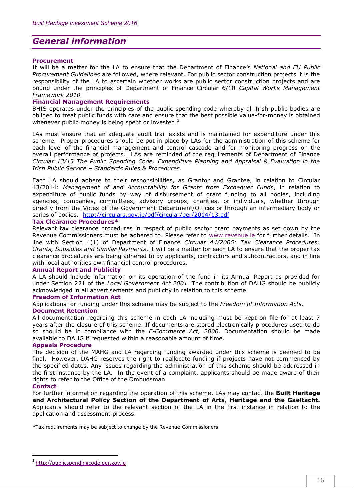## *General information*

#### **Procurement**

It will be a matter for the LA to ensure that the Department of Finance's *National and EU Public Procurement Guidelines* are followed, where relevant. For public sector construction projects it is the responsibility of the LA to ascertain whether works are public sector construction projects and are bound under the principles of Department of Finance Circular 6/10 *Capital Works Management Framework 2010.*

#### **Financial Management Requirements**

BHIS operates under the principles of the public spending code whereby all Irish public bodies are obliged to treat public funds with care and ensure that the best possible value-for-money is obtained whenever public money is being spent or invested.<sup>3</sup>

LAs must ensure that an adequate audit trail exists and is maintained for expenditure under this scheme. Proper procedures should be put in place by LAs for the administration of this scheme for each level of the financial management and control cascade and for monitoring progress on the overall performance of projects. LAs are reminded of the requirements of Department of Finance *Circular 13/13 The Public Spending Code: Expenditure Planning and Appraisal & Evaluation in the Irish Public Service – Standards Rules & Procedures*.

Each LA should adhere to their responsibilities, as Grantor and Grantee, in relation to Circular 13/2014: *Management of and Accountability for Grants from Exchequer Funds*, in relation to expenditure of public funds by way of disbursement of grant funding to all bodies, including agencies, companies, committees, advisory groups, charities, or individuals, whether through directly from the Votes of the Government Department/Offices or through an intermediary body or series of bodies. <http://circulars.gov.ie/pdf/circular/per/2014/13.pdf>

#### **Tax Clearance Procedures\***

Relevant tax clearance procedures in respect of public sector grant payments as set down by the Revenue Commissioners must be adhered to. Please refer to [www.revenue.ie](http://www.revenue.ie/) for further details. In line with Section 4(1) of Department of Finance *Circular 44/2006: Tax Clearance Procedures: Grants, Subsidies and Similar Payments*, it will be a matter for each LA to ensure that the proper tax clearance procedures are being adhered to by applicants, contractors and subcontractors, and in line with local authorities own financial control procedures.

#### **Annual Report and Publicity**

A LA should include information on its operation of the fund in its Annual Report as provided for under Section 221 of the *Local Government Act 2001.* The contribution of DAHG should be publicly acknowledged in all advertisements and publicity in relation to this scheme.

#### **Freedom of Information Act**

Applications for funding under this scheme may be subject to the *Freedom of Information Acts.*

#### **Document Retention**

All documentation regarding this scheme in each LA including must be kept on file for at least 7 years after the closure of this scheme. If documents are stored electronically procedures used to do so should be in compliance with the *E-Commerce Act, 2000*. Documentation should be made available to DAHG if requested within a reasonable amount of time.

#### **Appeals Procedure**

The decision of the MAHG and LA regarding funding awarded under this scheme is deemed to be final. However, DAHG reserves the right to reallocate funding if projects have not commenced by the specified dates. Any issues regarding the administration of this scheme should be addressed in the first instance by the LA. In the event of a complaint, applicants should be made aware of their rights to refer to the Office of the Ombudsman.

#### **Contact**

 $\overline{a}$ 

For further information regarding the operation of this scheme, LAs may contact the **Built Heritage and Architectural Policy Section of the Department of Arts, Heritage and the Gaeltacht.**  Applicants should refer to the relevant section of the LA in the first instance in relation to the application and assessment process.

\*Tax requirements may be subject to change by the Revenue Commissioners

<sup>&</sup>lt;sup>3</sup> [http://publicspendingcode.per.gov.ie](http://publicspendingcode.per.gov.ie/)